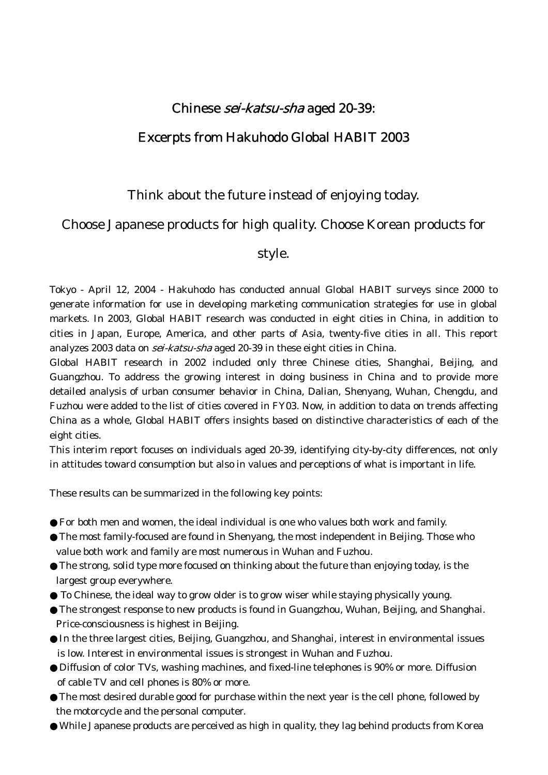# Chinese sei-katsu-sha aged 20-39:

# Excerpts from Hakuhodo Global HABIT 2003

## Think about the future instead of enjoying today.

## Choose Japanese products for high quality. Choose Korean products for

## style.

Tokyo - April 12, 2004 - Hakuhodo has conducted annual Global HABIT surveys since 2000 to generate information for use in developing marketing communication strategies for use in global markets. In 2003, Global HABIT research was conducted in eight cities in China, in addition to cities in Japan, Europe, America, and other parts of Asia, twenty-five cities in all. This report analyzes 2003 data on *sei-katsu-sha* aged 20-39 in these eight cities in China.

Global HABIT research in 2002 included only three Chinese cities, Shanghai, Beijing, and Guangzhou. To address the growing interest in doing business in China and to provide more detailed analysis of urban consumer behavior in China, Dalian, Shenyang, Wuhan, Chengdu, and Fuzhou were added to the list of cities covered in FY03. Now, in addition to data on trends affecting China as a whole, Global HABIT offers insights based on distinctive characteristics of each of the eight cities.

This interim report focuses on individuals aged 20-39, identifying city-by-city differences, not only in attitudes toward consumption but also in values and perceptions of what is important in life.

These results can be summarized in the following key points:

For both men and women, the ideal individual is one who values both work and family.

The most family-focused are found in Shenyang, the most independent in Beijing. Those who value both work and family are most numerous in Wuhan and Fuzhou.

The strong, solid type more focused on thinking about the future than enjoying today, is the largest group everywhere.

To Chinese, the ideal way to grow older is to grow wiser while staying physically young. The strongest response to new products is found in Guangzhou, Wuhan, Beijing, and Shanghai. Price-consciousness is highest in Beijing.

In the three largest cities, Beijing, Guangzhou, and Shanghai, interest in environmental issues is low. Interest in environmental issues is strongest in Wuhan and Fuzhou.

Diffusion of color TVs, washing machines, and fixed-line telephones is 90% or more. Diffusion of cable TV and cell phones is 80% or more.

The most desired durable good for purchase within the next year is the cell phone, followed by the motorcycle and the personal computer.

While Japanese products are perceived as high in quality, they lag behind products from Korea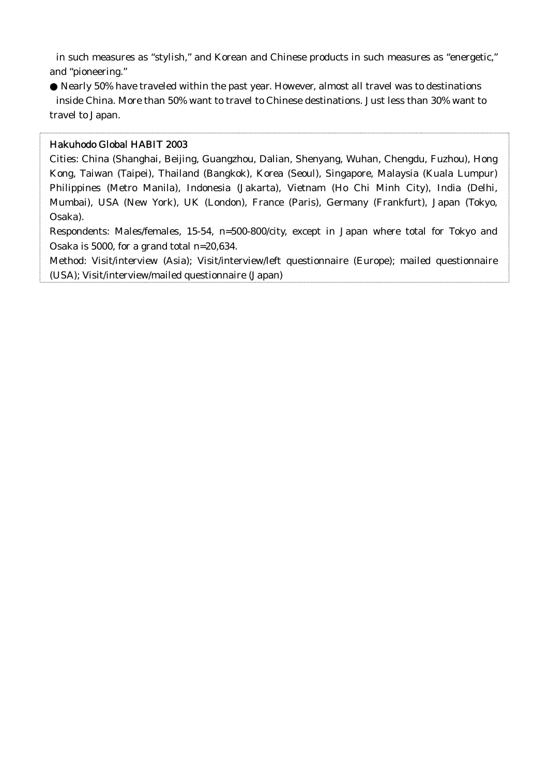in such measures as "stylish," and Korean and Chinese products in such measures as "energetic," and "pioneering."

Nearly 50% have traveled within the past year. However, almost all travel was to destinations inside China. More than 50% want to travel to Chinese destinations. Just less than 30% want to travel to Japan.

### Hakuhodo Global HABIT 2003

Cities: China (Shanghai, Beijing, Guangzhou, Dalian, Shenyang, Wuhan, Chengdu, Fuzhou), Hong Kong, Taiwan (Taipei), Thailand (Bangkok), Korea (Seoul), Singapore, Malaysia (Kuala Lumpur) Philippines (Metro Manila), Indonesia (Jakarta), Vietnam (Ho Chi Minh City), India (Delhi, Mumbai), USA (New York), UK (London), France (Paris), Germany (Frankfurt), Japan (Tokyo, Osaka).

Respondents: Males/females, 15-54, n=500-800/city, except in Japan where total for Tokyo and Osaka is 5000, for a grand total n=20,634.

Method: Visit/interview (Asia); Visit/interview/left questionnaire (Europe); mailed questionnaire (USA); Visit/interview/mailed questionnaire (Japan)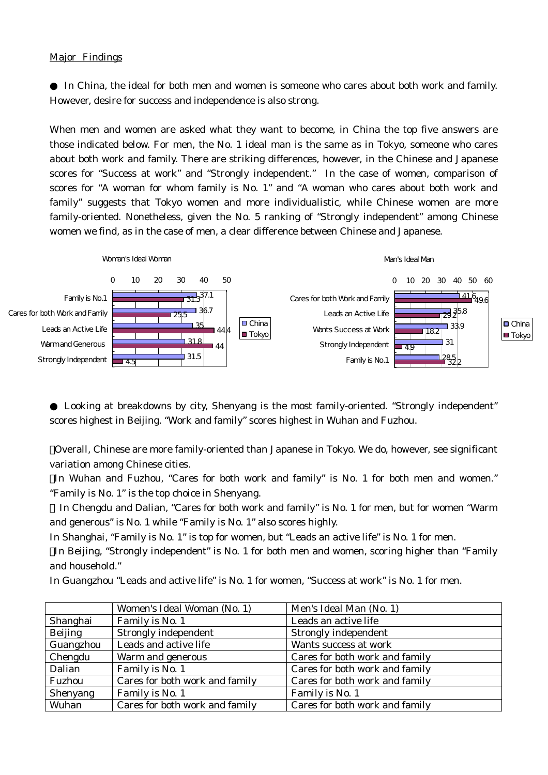#### Major Findings

 In China, the ideal for both men and women is someone who cares about both work and family. However, desire for success and independence is also strong.

When men and women are asked what they want to become, in China the top five answers are those indicated below. For men, the No. 1 ideal man is the same as in Tokyo, someone who cares about both work and family. There are striking differences, however, in the Chinese and Japanese scores for "Success at work" and "Strongly independent." In the case of women, comparison of scores for "A woman for whom family is No. 1" and "A woman who cares about both work and family" suggests that Tokyo women and more individualistic, while Chinese women are more family-oriented. Nonetheless, given the No. 5 ranking of "Strongly independent" among Chinese women we find, as in the case of men, a clear difference between Chinese and Japanese.



 Looking at breakdowns by city, Shenyang is the most family-oriented. "Strongly independent" scores highest in Beijing. "Work and family" scores highest in Wuhan and Fuzhou.

Overall, Chinese are more family-oriented than Japanese in Tokyo. We do, however, see significant variation among Chinese cities.

In Wuhan and Fuzhou, "Cares for both work and family" is No. 1 for both men and women." "Family is No. 1" is the top choice in Shenyang.

 In Chengdu and Dalian, "Cares for both work and family" is No. 1 for men, but for women "Warm and generous" is No. 1 while "Family is No. 1" also scores highly.

In Shanghai, "Family is No. 1" is top for women, but "Leads an active life" is No. 1 for men.

In Beijing, "Strongly independent" is No. 1 for both men and women, scoring higher than "Family and household."

In Guangzhou "Leads and active life" is No. 1 for women, "Success at work" is No. 1 for men.

|                 | Women's Ideal Woman (No. 1)    | Men's Ideal Man (No. 1)        |
|-----------------|--------------------------------|--------------------------------|
| Shanghai        | Family is No. 1                | Leads an active life           |
| <b>Beijing</b>  | <b>Strongly independent</b>    | <b>Strongly independent</b>    |
| Guangzhou       | Leads and active life          | Wants success at work          |
| Chengdu         | <b>Warm and generous</b>       | Cares for both work and family |
| Dalian          | Family is No. 1                | Cares for both work and family |
| <b>Fuzhou</b>   | Cares for both work and family | Cares for both work and family |
| <b>Shenyang</b> | Family is No. 1                | Family is No. 1                |
| Wuhan           | Cares for both work and family | Cares for both work and family |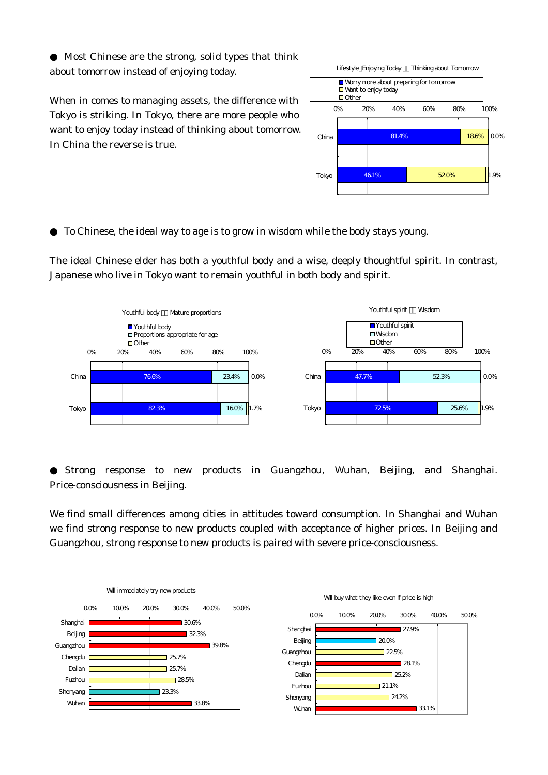Most Chinese are the strong, solid types that think about tomorrow instead of enjoying today.

When in comes to managing assets, the difference with Tokyo is striking. In Tokyo, there are more people who want to enjoy today instead of thinking about tomorrow. In China the reverse is true.



To Chinese, the ideal way to age is to grow in wisdom while the body stays young.

The ideal Chinese elder has both a youthful body and a wise, deeply thoughtful spirit. In contrast, Japanese who live in Tokyo want to remain youthful in both body and spirit.



Strong response to new products in Guangzhou, Wuhan, Beijing, and Shanghai. Price-consciousness in Beijing.

We find small differences among cities in attitudes toward consumption. In Shanghai and Wuhan we find strong response to new products coupled with acceptance of higher prices. In Beijing and Guangzhou, strong response to new products is paired with severe price-consciousness.

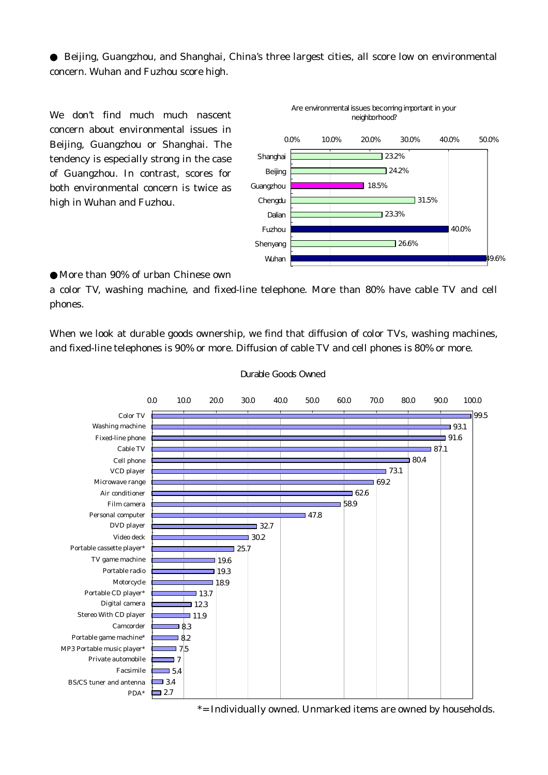Beijing, Guangzhou, and Shanghai, China's three largest cities, all score low on environmental concern. Wuhan and Fuzhou score high.

We don't find much much nascent concern about environmental issues in Beijing, Guangzhou or Shanghai. The tendency is especially strong in the case of Guangzhou. In contrast, scores for both environmental concern is twice as high in Wuhan and Fuzhou.



More than 90% of urban Chinese own

a color TV, washing machine, and fixed-line telephone. More than 80% have cable TV and cell phones.

When we look at durable goods ownership, we find that diffusion of color TVs, washing machines, and fixed-line telephones is 90% or more. Diffusion of cable TV and cell phones is 80% or more.



#### Durable Goods Owned

\*= Individually owned. Unmarked items are owned by households.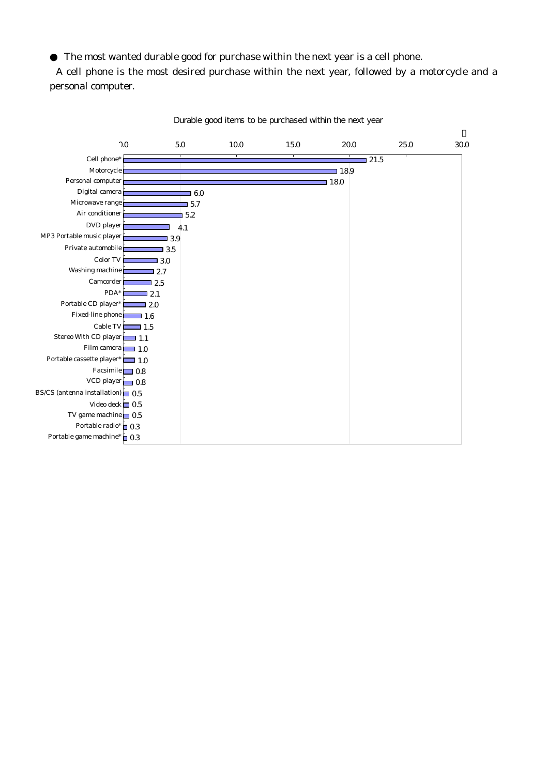The most wanted durable good for purchase within the next year is a cell phone.

A cell phone is the most desired purchase within the next year, followed by a motorcycle and a personal computer.



Durable good items to be purchased within the next year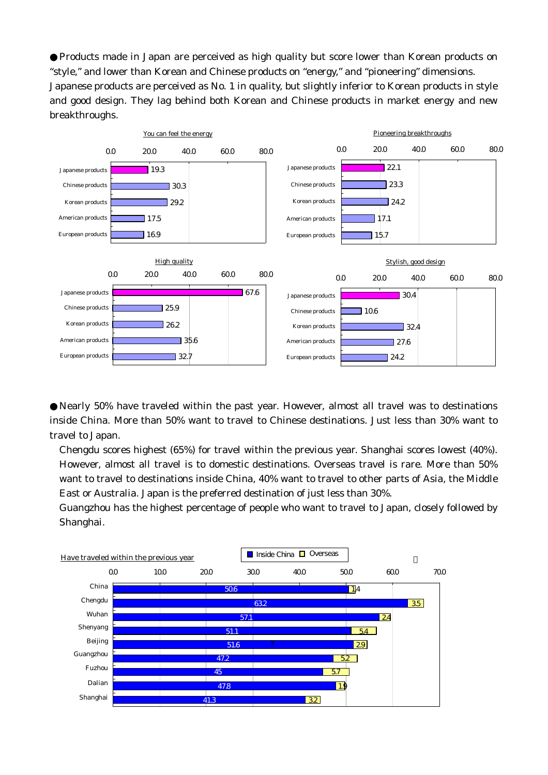Products made in Japan are perceived as high quality but score lower than Korean products on "style," and lower than Korean and Chinese products on "energy," and "pioneering" dimensions. Japanese products are perceived as No. 1 in quality, but slightly inferior to Korean products in style and good design. They lag behind both Korean and Chinese products in market energy and new breakthroughs.



Nearly 50% have traveled within the past year. However, almost all travel was to destinations inside China. More than 50% want to travel to Chinese destinations. Just less than 30% want to travel to Japan.

Chengdu scores highest (65%) for travel within the previous year. Shanghai scores lowest (40%). However, almost all travel is to domestic destinations. Overseas travel is rare. More than 50% want to travel to destinations inside China, 40% want to travel to other parts of Asia, the Middle East or Australia. Japan is the preferred destination of just less than 30%.

Guangzhou has the highest percentage of people who want to travel to Japan, closely followed by Shanghai.